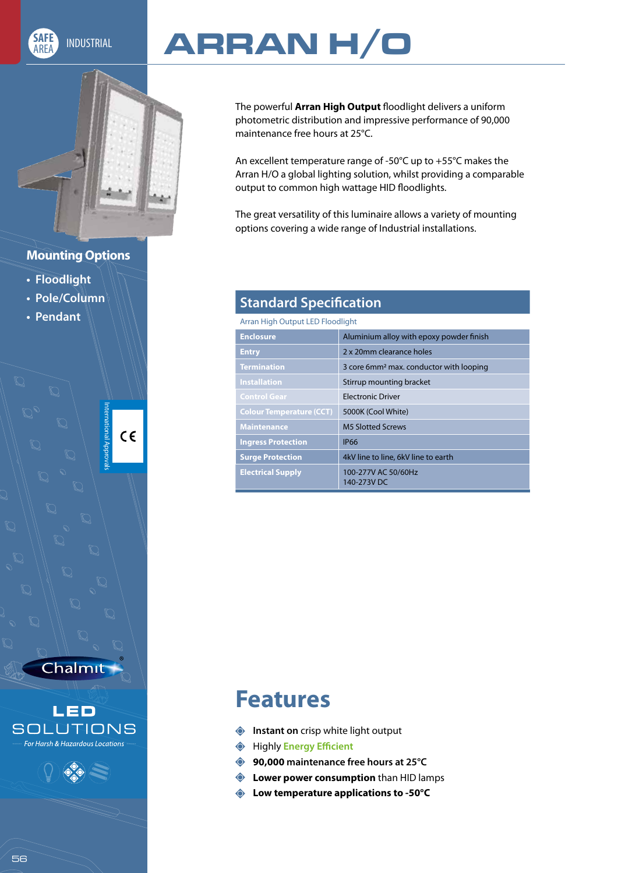

# AREA INDUSTRIAL **ARRAN H/O**

The powerful **Arran High Output** floodlight delivers a uniform photometric distribution and impressive performance of 90,000 maintenance free hours at 25°C.

An excellent temperature range of -50°C up to +55°C makes the Arran H/O a global lighting solution, whilst providing a comparable output to common high wattage HID floodlights.

The great versatility of this luminaire allows a variety of mounting options covering a wide range of Industrial installations.

### **Mounting Options**

- **Floodlight**
- **Pole/Column**
- **Pendant**

Ŋ

⋉

 $\mathbb{D}$ 

 $\mathbb{C}% ^{N}\left( \mathbb{Z}^{\otimes n}\right)$ 

↶

Chalmit

 $\mathbb{D}$ 

 $\mathbb{C}$ 

 $\mathbb{D}% _{k}(T)=\mathbb{Z}_{k}(T_{1})$ 

D

 $\mathbb{D}$ 

↶

 $\mathbb{D}$ 

 $\mathbb{C}$ 

 $\mathbb{D}$ 

N

 $\sum_{i=1}^{n}$ 

 $\mathbb{D}$ 

International Approvals  $C \in$ 





### **Standard Specification**

Arran High Output LED Floodlight

| <b>Enclosure</b>                | Aluminium alloy with epoxy powder finish            |  |
|---------------------------------|-----------------------------------------------------|--|
| <b>Entry</b>                    | 2 x 20mm clearance holes                            |  |
| <b>Termination</b>              | 3 core 6mm <sup>2</sup> max. conductor with looping |  |
| <b>Installation</b>             | Stirrup mounting bracket                            |  |
| <b>Control Gear</b>             | <b>Electronic Driver</b>                            |  |
| <b>Colour Temperature (CCT)</b> | 5000K (Cool White)                                  |  |
| <b>Maintenance</b>              | <b>M5 Slotted Screws</b>                            |  |
| <b>Ingress Protection</b>       | <b>IP66</b>                                         |  |
| <b>Surge Protection</b>         | 4kV line to line, 6kV line to earth                 |  |
| <b>Electrical Supply</b>        | 100-277V AC 50/60Hz<br>140-273V DC                  |  |

## **Features**

- **Instant on** crisp white light output
- Highly **Energy Efficient**
- **90,000 maintenance free hours at 25°C**
- **Example 2 Lower power consumption** than HID lamps
- **Low temperature applications to -50°C**